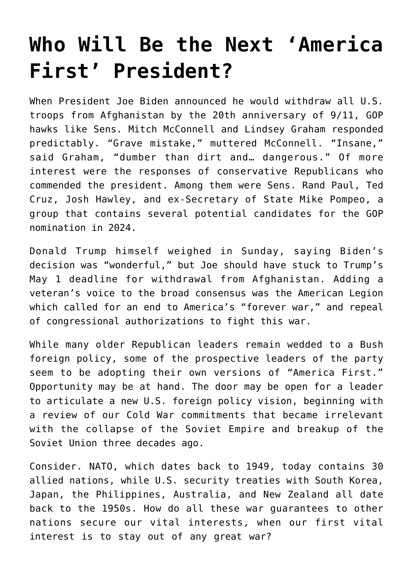## **[Who Will Be the Next 'America](https://intellectualtakeout.org/2021/04/who-will-be-the-next-america-first-president/) [First' President?](https://intellectualtakeout.org/2021/04/who-will-be-the-next-america-first-president/)**

When President Joe Biden announced he would withdraw all U.S. troops from Afghanistan by the 20th anniversary of 9/11, GOP hawks like Sens. Mitch McConnell and Lindsey Graham responded predictably. "Grave mistake," muttered McConnell. "Insane," said Graham, "dumber than dirt and… dangerous." Of more interest were the responses of conservative Republicans who commended the president. Among them were Sens. Rand Paul, Ted Cruz, Josh Hawley, and ex-Secretary of State Mike Pompeo, a group that contains several potential candidates for the GOP nomination in 2024.

Donald Trump himself weighed in Sunday, saying Biden's decision was "wonderful," but Joe should have stuck to Trump's May 1 deadline for withdrawal from Afghanistan. Adding a veteran's voice to the broad consensus was the American Legion which called for an end to America's "forever war," and repeal of congressional authorizations to fight this war.

While many older Republican leaders remain wedded to a Bush foreign policy, some of the prospective leaders of the party seem to be adopting their own versions of "America First." Opportunity may be at hand. The door may be open for a leader to articulate a new U.S. foreign policy vision, beginning with a review of our Cold War commitments that became irrelevant with the collapse of the Soviet Empire and breakup of the Soviet Union three decades ago.

Consider. NATO, which dates back to 1949, today contains 30 allied nations, while U.S. security treaties with South Korea, Japan, the Philippines, Australia, and New Zealand all date back to the 1950s. How do all these war guarantees to other nations secure our vital interests, when our first vital interest is to stay out of any great war?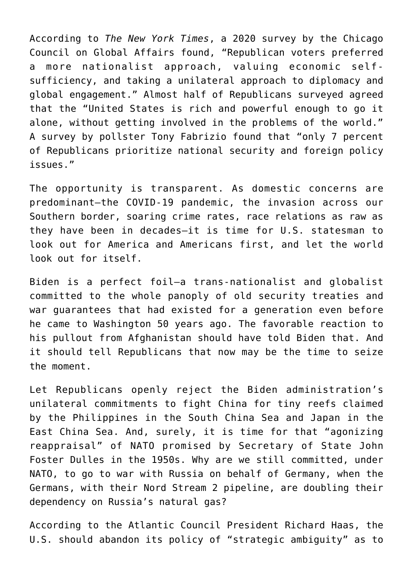According to *The New York Times*, a 2020 survey by the Chicago Council on Global Affairs found, "Republican voters preferred a more nationalist approach, valuing economic selfsufficiency, and taking a unilateral approach to diplomacy and global engagement." Almost half of Republicans surveyed agreed that the "United States is rich and powerful enough to go it alone, without getting involved in the problems of the world." A survey by pollster Tony Fabrizio found that "only 7 percent of Republicans prioritize national security and foreign policy issues."

The opportunity is transparent. As domestic concerns are predominant—the COVID-19 pandemic, the invasion across our Southern border, soaring crime rates, race relations as raw as they have been in decades—it is time for U.S. statesman to look out for America and Americans first, and let the world look out for itself.

Biden is a perfect foil—a trans-nationalist and globalist committed to the whole panoply of old security treaties and war guarantees that had existed for a generation even before he came to Washington 50 years ago. The favorable reaction to his pullout from Afghanistan should have told Biden that. And it should tell Republicans that now may be the time to seize the moment.

Let Republicans openly reject the Biden administration's unilateral commitments to fight China for tiny reefs claimed by the Philippines in the South China Sea and Japan in the East China Sea. And, surely, it is time for that "agonizing reappraisal" of NATO promised by Secretary of State John Foster Dulles in the 1950s. Why are we still committed, under NATO, to go to war with Russia on behalf of Germany, when the Germans, with their Nord Stream 2 pipeline, are doubling their dependency on Russia's natural gas?

According to the Atlantic Council President Richard Haas, the U.S. should abandon its policy of "strategic ambiguity" as to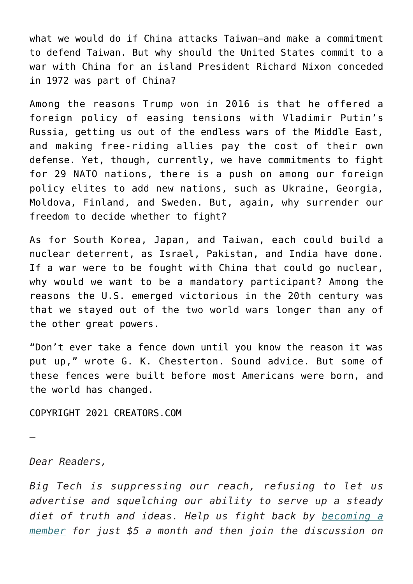what we would do if China attacks Taiwan—and make a commitment to defend Taiwan. But why should the United States commit to a war with China for an island President Richard Nixon conceded in 1972 was part of China?

Among the reasons Trump won in 2016 is that he offered a foreign policy of easing tensions with Vladimir Putin's Russia, getting us out of the endless wars of the Middle East, and making free-riding allies pay the cost of their own defense. Yet, though, currently, we have commitments to fight for 29 NATO nations, there is a push on among our foreign policy elites to add new nations, such as Ukraine, Georgia, Moldova, Finland, and Sweden. But, again, why surrender our freedom to decide whether to fight?

As for South Korea, Japan, and Taiwan, each could build a nuclear deterrent, as Israel, Pakistan, and India have done. If a war were to be fought with China that could go nuclear, why would we want to be a mandatory participant? Among the reasons the U.S. emerged victorious in the 20th century was that we stayed out of the two world wars longer than any of the other great powers.

"Don't ever take a fence down until you know the reason it was put up," wrote G. K. Chesterton. Sound advice. But some of these fences were built before most Americans were born, and the world has changed.

COPYRIGHT 2021 CREATORS.COM

—

*Dear Readers,*

*Big Tech is suppressing our reach, refusing to let us advertise and squelching our ability to serve up a steady diet of truth and ideas. Help us fight back by [becoming a](https://www.chroniclesmagazine.org/subscribe/) [member](https://www.chroniclesmagazine.org/subscribe/) for just \$5 a month and then join the discussion on*